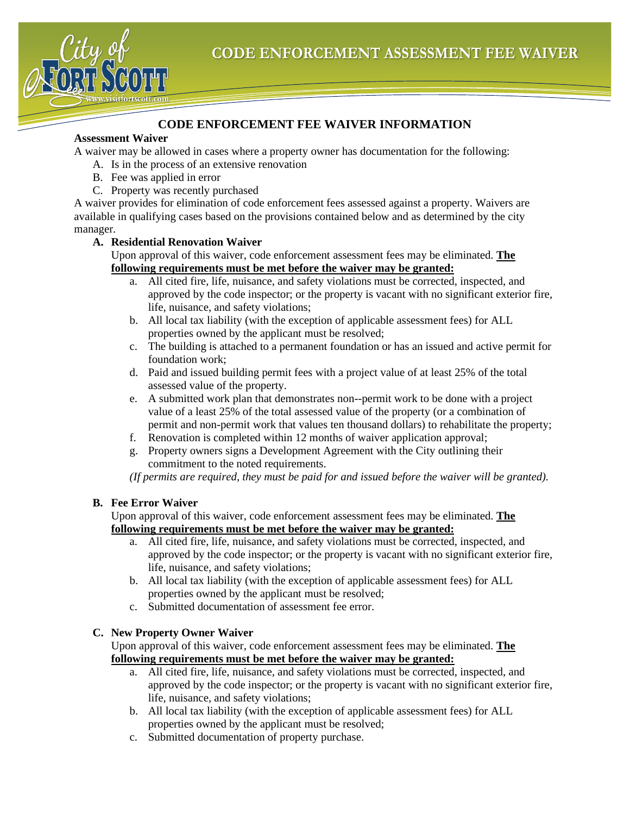

### **CODE ENFORCEMENT FEE WAIVER INFORMATION**

#### **Assessment Waiver**

A waiver may be allowed in cases where a property owner has documentation for the following:

- A. Is in the process of an extensive renovation
- B. Fee was applied in error
- C. Property was recently purchased

A waiver provides for elimination of code enforcement fees assessed against a property. Waivers are available in qualifying cases based on the provisions contained below and as determined by the city manager.

#### **A. Residential Renovation Waiver**

Upon approval of this waiver, code enforcement assessment fees may be eliminated. **The following requirements must be met before the waiver may be granted:**

- a. All cited fire, life, nuisance, and safety violations must be corrected, inspected, and approved by the code inspector; or the property is vacant with no significant exterior fire, life, nuisance, and safety violations;
- b. All local tax liability (with the exception of applicable assessment fees) for ALL properties owned by the applicant must be resolved;
- c. The building is attached to a permanent foundation or has an issued and active permit for foundation work;
- d. Paid and issued building permit fees with a project value of at least 25% of the total assessed value of the property.
- e. A submitted work plan that demonstrates non--permit work to be done with a project value of a least 25% of the total assessed value of the property (or a combination of permit and non-permit work that values ten thousand dollars) to rehabilitate the property;
- f. Renovation is completed within 12 months of waiver application approval;
- g. Property owners signs a Development Agreement with the City outlining their commitment to the noted requirements.

*(If permits are required, they must be paid for and issued before the waiver will be granted).*

#### **B. Fee Error Waiver**

Upon approval of this waiver, code enforcement assessment fees may be eliminated. **The following requirements must be met before the waiver may be granted:**

- a. All cited fire, life, nuisance, and safety violations must be corrected, inspected, and approved by the code inspector; or the property is vacant with no significant exterior fire, life, nuisance, and safety violations;
- b. All local tax liability (with the exception of applicable assessment fees) for ALL properties owned by the applicant must be resolved;
- c. Submitted documentation of assessment fee error.

#### **C. New Property Owner Waiver**

Upon approval of this waiver, code enforcement assessment fees may be eliminated. **The following requirements must be met before the waiver may be granted:**

- a. All cited fire, life, nuisance, and safety violations must be corrected, inspected, and approved by the code inspector; or the property is vacant with no significant exterior fire, life, nuisance, and safety violations;
- b. All local tax liability (with the exception of applicable assessment fees) for ALL properties owned by the applicant must be resolved;
- c. Submitted documentation of property purchase.